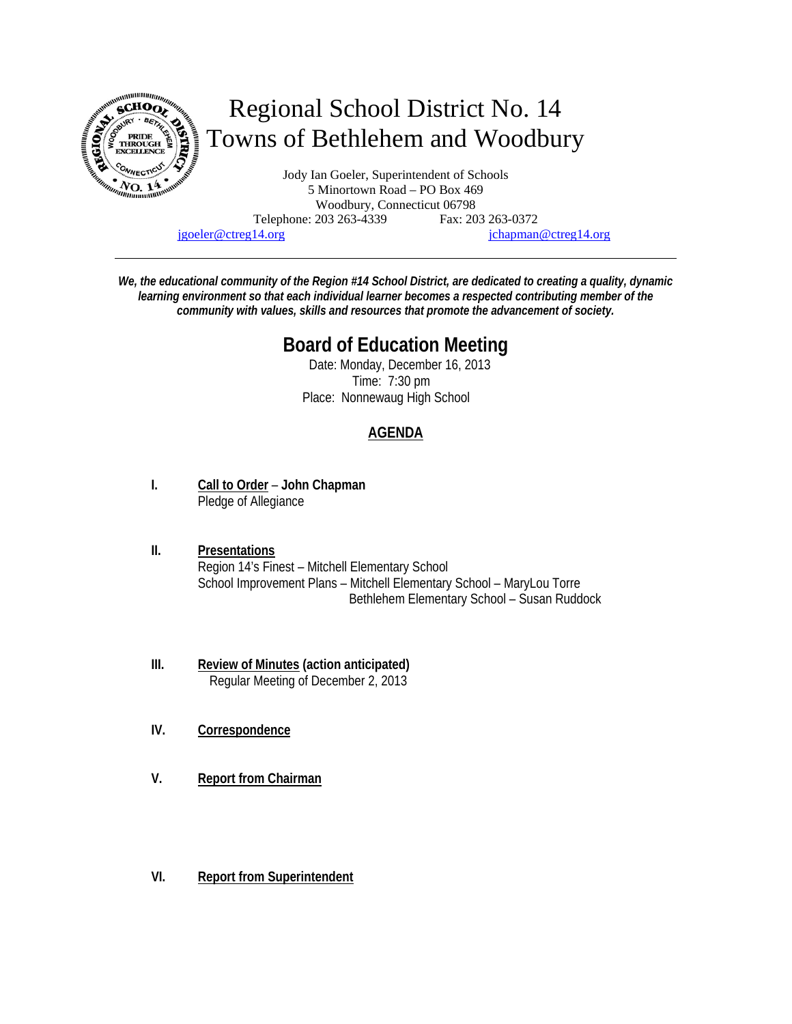

jgoeler@ctreg14.org jchapman@ctreg14.org

*We, the educational community of the Region #14 School District, are dedicated to creating a quality, dynamic learning environment so that each individual learner becomes a respected contributing member of the community with values, skills and resources that promote the advancement of society.* 

# **Board of Education Meeting**

 Date: Monday, December 16, 2013 Time: 7:30 pm Place: Nonnewaug High School

## **AGENDA**

- **I. Call to Order John Chapman** Pledge of Allegiance
- **II. Presentations** Region 14's Finest – Mitchell Elementary School School Improvement Plans – Mitchell Elementary School – MaryLou Torre Bethlehem Elementary School – Susan Ruddock
- **III. Review of Minutes (action anticipated)** Regular Meeting of December 2, 2013
- **IV. Correspondence**
- **V. Report from Chairman**
- **VI. Report from Superintendent**